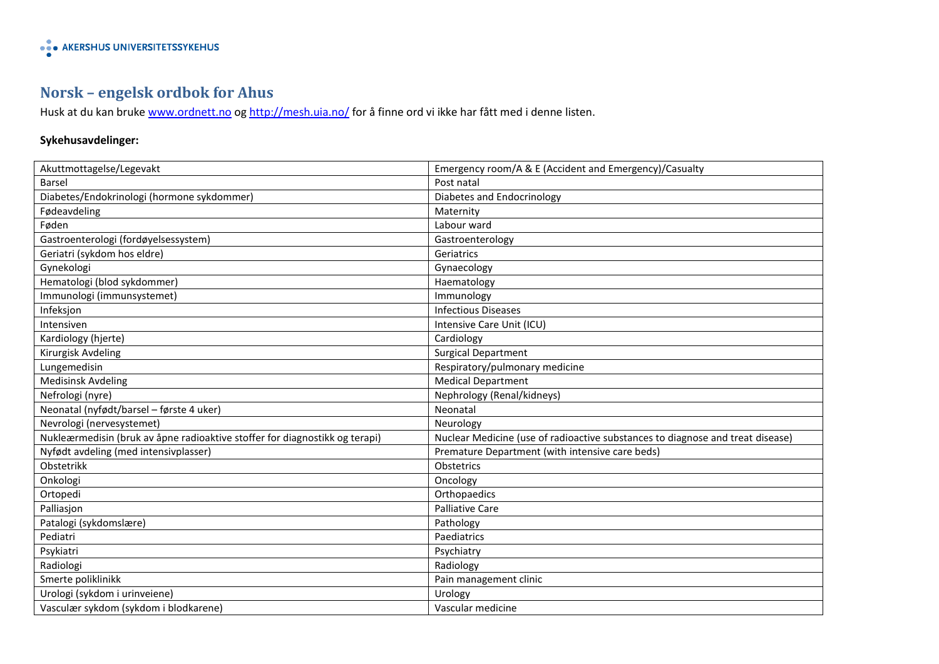## **Norsk – engelsk ordbok for Ahus**

Husk at du kan bruke [www.ordnett.no](http://www.ordnett.no/) o[g http://mesh.uia.no/](http://mesh.uia.no/) for å finne ord vi ikke har fått med i denne listen.

### **Sykehusavdelinger:**

| Akuttmottagelse/Legevakt                                                    | Emergency room/A & E (Accident and Emergency)/Casualty                         |
|-----------------------------------------------------------------------------|--------------------------------------------------------------------------------|
| Barsel                                                                      | Post natal                                                                     |
| Diabetes/Endokrinologi (hormone sykdommer)                                  | Diabetes and Endocrinology                                                     |
| Fødeavdeling                                                                | Maternity                                                                      |
| Føden                                                                       | Labour ward                                                                    |
| Gastroenterologi (fordøyelsessystem)                                        | Gastroenterology                                                               |
| Geriatri (sykdom hos eldre)                                                 | Geriatrics                                                                     |
| Gynekologi                                                                  | Gynaecology                                                                    |
| Hematologi (blod sykdommer)                                                 | Haematology                                                                    |
| Immunologi (immunsystemet)                                                  | Immunology                                                                     |
| Infeksjon                                                                   | <b>Infectious Diseases</b>                                                     |
| Intensiven                                                                  | Intensive Care Unit (ICU)                                                      |
| Kardiology (hjerte)                                                         | Cardiology                                                                     |
| Kirurgisk Avdeling                                                          | <b>Surgical Department</b>                                                     |
| Lungemedisin                                                                | Respiratory/pulmonary medicine                                                 |
| <b>Medisinsk Avdeling</b>                                                   | <b>Medical Department</b>                                                      |
| Nefrologi (nyre)                                                            | Nephrology (Renal/kidneys)                                                     |
| Neonatal (nyfødt/barsel - første 4 uker)                                    | Neonatal                                                                       |
| Nevrologi (nervesystemet)                                                   | Neurology                                                                      |
| Nukleærmedisin (bruk av åpne radioaktive stoffer for diagnostikk og terapi) | Nuclear Medicine (use of radioactive substances to diagnose and treat disease) |
| Nyfødt avdeling (med intensivplasser)                                       | Premature Department (with intensive care beds)                                |
| Obstetrikk                                                                  | Obstetrics                                                                     |
| Onkologi                                                                    | Oncology                                                                       |
| Ortopedi                                                                    | Orthopaedics                                                                   |
| Palliasjon                                                                  | Palliative Care                                                                |
| Patalogi (sykdomslære)                                                      | Pathology                                                                      |
| Pediatri                                                                    | Paediatrics                                                                    |
| Psykiatri                                                                   | Psychiatry                                                                     |
| Radiologi                                                                   | Radiology                                                                      |
| Smerte poliklinikk                                                          | Pain management clinic                                                         |
| Urologi (sykdom i urinveiene)                                               | Urology                                                                        |
| Vasculær sykdom (sykdom i blodkarene)                                       | Vascular medicine                                                              |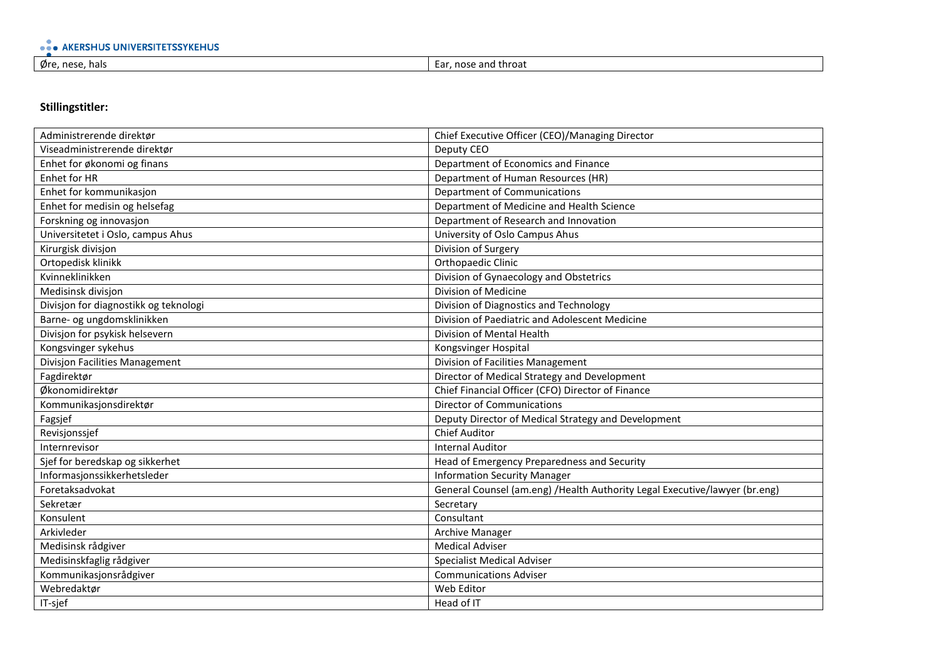| .<br><b>INIV</b><br>.<br>свг<br>пов<br>. IN C |                                  |
|-----------------------------------------------|----------------------------------|
| Øre, nese<br>hals                             | i throaf<br>- Ear<br>and<br>nose |

#### **Stillingstitler:**

| Administrerende direktør              | Chief Executive Officer (CEO)/Managing Director                             |
|---------------------------------------|-----------------------------------------------------------------------------|
| Viseadministrerende direktør          | Deputy CEO                                                                  |
| Enhet for økonomi og finans           | Department of Economics and Finance                                         |
| Enhet for HR                          | Department of Human Resources (HR)                                          |
| Enhet for kommunikasjon               | <b>Department of Communications</b>                                         |
| Enhet for medisin og helsefag         | Department of Medicine and Health Science                                   |
| Forskning og innovasjon               | Department of Research and Innovation                                       |
| Universitetet i Oslo, campus Ahus     | University of Oslo Campus Ahus                                              |
| Kirurgisk divisjon                    | Division of Surgery                                                         |
| Ortopedisk klinikk                    | Orthopaedic Clinic                                                          |
| Kvinneklinikken                       | Division of Gynaecology and Obstetrics                                      |
| Medisinsk divisjon                    | Division of Medicine                                                        |
| Divisjon for diagnostikk og teknologi | Division of Diagnostics and Technology                                      |
| Barne- og ungdomsklinikken            | Division of Paediatric and Adolescent Medicine                              |
| Divisjon for psykisk helsevern        | Division of Mental Health                                                   |
| Kongsvinger sykehus                   | Kongsvinger Hospital                                                        |
| Divisjon Facilities Management        | Division of Facilities Management                                           |
| Fagdirektør                           | Director of Medical Strategy and Development                                |
| Økonomidirektør                       | Chief Financial Officer (CFO) Director of Finance                           |
| Kommunikasjonsdirektør                | <b>Director of Communications</b>                                           |
| Fagsjef                               | Deputy Director of Medical Strategy and Development                         |
| Revisjonssjef                         | <b>Chief Auditor</b>                                                        |
| Internrevisor                         | <b>Internal Auditor</b>                                                     |
| Sjef for beredskap og sikkerhet       | Head of Emergency Preparedness and Security                                 |
| Informasjonssikkerhetsleder           | <b>Information Security Manager</b>                                         |
| Foretaksadvokat                       | General Counsel (am.eng) / Health Authority Legal Executive/lawyer (br.eng) |
| Sekretær                              | Secretary                                                                   |
| Konsulent                             | Consultant                                                                  |
| Arkivleder                            | <b>Archive Manager</b>                                                      |
| Medisinsk rådgiver                    | <b>Medical Adviser</b>                                                      |
| Medisinskfaglig rådgiver              | <b>Specialist Medical Adviser</b>                                           |
| Kommunikasjonsrådgiver                | <b>Communications Adviser</b>                                               |
| Webredaktør                           | Web Editor                                                                  |
| IT-sjef                               | Head of IT                                                                  |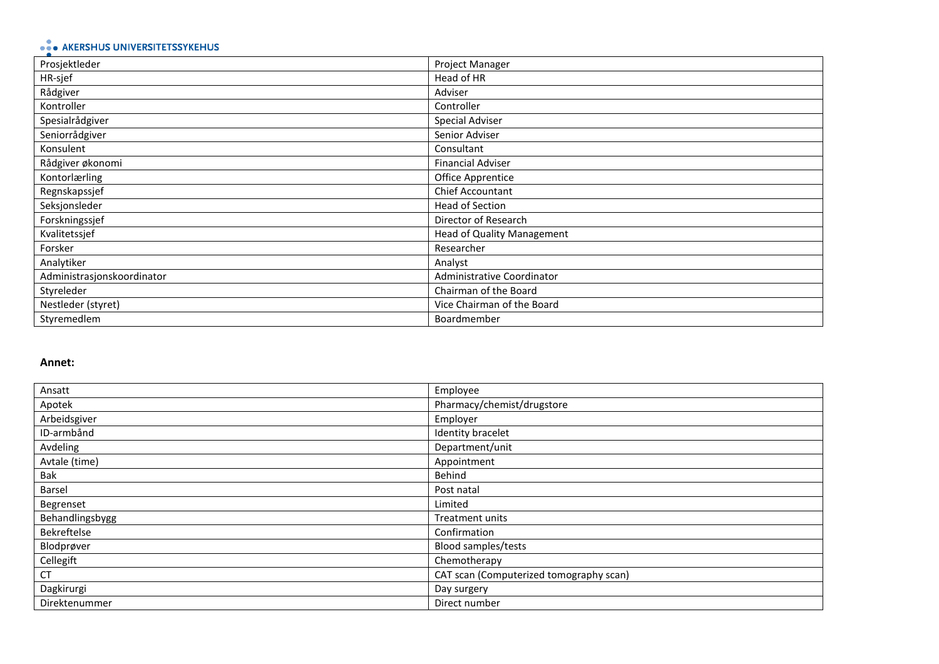# • AKERSHUS UNIVERSITETSSYKEHUS

| Prosjektleder              | Project Manager                   |
|----------------------------|-----------------------------------|
| HR-sjef                    | Head of HR                        |
| Rådgiver                   | Adviser                           |
| Kontroller                 | Controller                        |
| Spesialrådgiver            | Special Adviser                   |
| Seniorrådgiver             | Senior Adviser                    |
| Konsulent                  | Consultant                        |
| Rådgiver økonomi           | <b>Financial Adviser</b>          |
| Kontorlærling              | Office Apprentice                 |
| Regnskapssjef              | Chief Accountant                  |
| Seksjonsleder              | <b>Head of Section</b>            |
| Forskningssjef             | Director of Research              |
| Kvalitetssjef              | <b>Head of Quality Management</b> |
| Forsker                    | Researcher                        |
| Analytiker                 | Analyst                           |
| Administrasjonskoordinator | Administrative Coordinator        |
| Styreleder                 | Chairman of the Board             |
| Nestleder (styret)         | Vice Chairman of the Board        |
| Styremedlem                | Boardmember                       |

#### **Annet:**

| Ansatt          | Employee                                |
|-----------------|-----------------------------------------|
| Apotek          | Pharmacy/chemist/drugstore              |
| Arbeidsgiver    | Employer                                |
| ID-armbånd      | Identity bracelet                       |
| Avdeling        | Department/unit                         |
| Avtale (time)   | Appointment                             |
| Bak             | Behind                                  |
| Barsel          | Post natal                              |
| Begrenset       | Limited                                 |
| Behandlingsbygg | Treatment units                         |
| Bekreftelse     | Confirmation                            |
| Blodprøver      | Blood samples/tests                     |
| Cellegift       | Chemotherapy                            |
| СT              | CAT scan (Computerized tomography scan) |
| Dagkirurgi      | Day surgery                             |
| Direktenummer   | Direct number                           |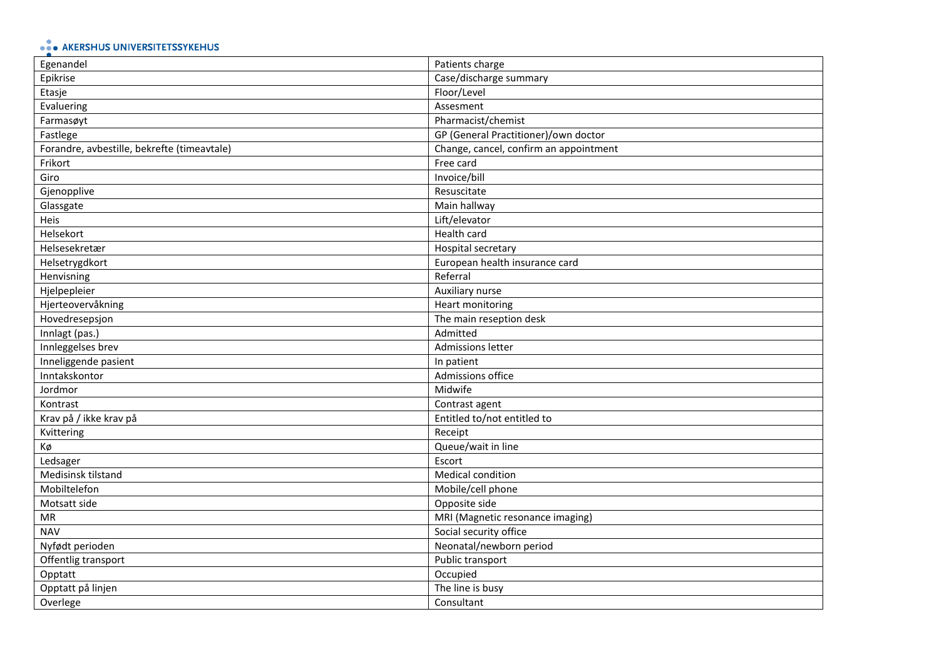# • AKERSHUS UNIVERSITETSSYKEHUS

| Egenandel                                   | Patients charge                        |
|---------------------------------------------|----------------------------------------|
| Epikrise                                    | Case/discharge summary                 |
| Etasje                                      | Floor/Level                            |
| Evaluering                                  | Assesment                              |
| Farmasøyt                                   | Pharmacist/chemist                     |
| Fastlege                                    | GP (General Practitioner)/own doctor   |
| Forandre, avbestille, bekrefte (timeavtale) | Change, cancel, confirm an appointment |
| Frikort                                     | Free card                              |
| Giro                                        | Invoice/bill                           |
| Gjenopplive                                 | Resuscitate                            |
| Glassgate                                   | Main hallway                           |
| Heis                                        | Lift/elevator                          |
| Helsekort                                   | Health card                            |
| Helsesekretær                               | Hospital secretary                     |
| Helsetrygdkort                              | European health insurance card         |
| Henvisning                                  | Referral                               |
| Hjelpepleier                                | Auxiliary nurse                        |
| Hjerteovervåkning                           | <b>Heart monitoring</b>                |
| Hovedresepsjon                              | The main reseption desk                |
| Innlagt (pas.)                              | Admitted                               |
| Innleggelses brev                           | Admissions letter                      |
| Inneliggende pasient                        | In patient                             |
| Inntakskontor                               | Admissions office                      |
| Jordmor                                     | Midwife                                |
| Kontrast                                    | Contrast agent                         |
| Krav på / ikke krav på                      | Entitled to/not entitled to            |
| Kvittering                                  | Receipt                                |
| Кø                                          | Queue/wait in line                     |
| Ledsager                                    | Escort                                 |
| Medisinsk tilstand                          | Medical condition                      |
| Mobiltelefon                                | Mobile/cell phone                      |
| Motsatt side                                | Opposite side                          |
| MR                                          | MRI (Magnetic resonance imaging)       |
| <b>NAV</b>                                  | Social security office                 |
| Nyfødt perioden                             | Neonatal/newborn period                |
| Offentlig transport                         | Public transport                       |
| Opptatt                                     | Occupied                               |
| Opptatt på linjen                           | The line is busy                       |
| Overlege                                    | Consultant                             |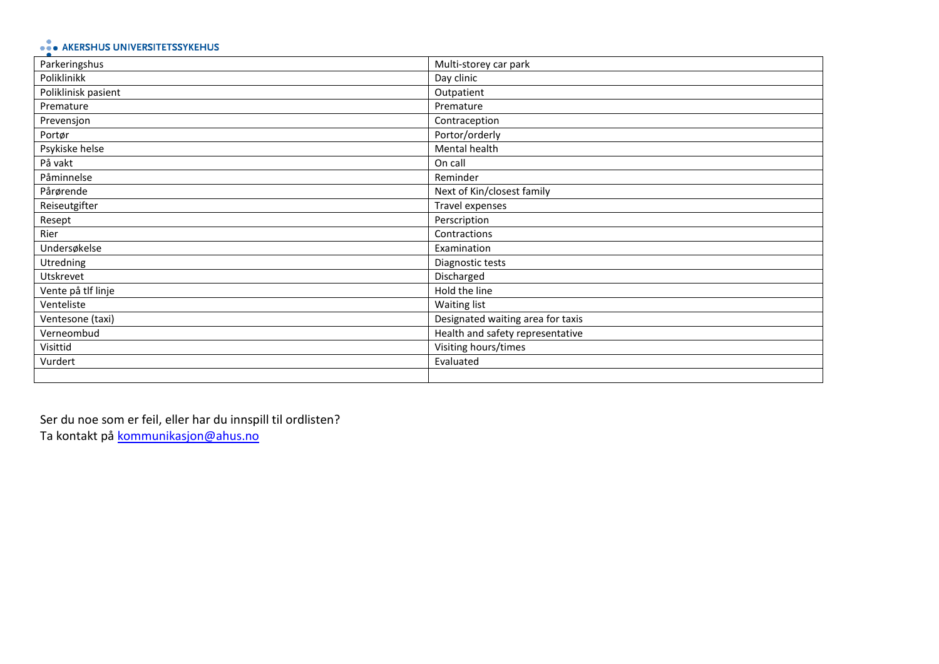## • AKERSHUS UNIVERSITETSSYKEHUS

| Parkeringshus       | Multi-storey car park             |
|---------------------|-----------------------------------|
| Poliklinikk         | Day clinic                        |
| Poliklinisk pasient | Outpatient                        |
| Premature           | Premature                         |
| Prevensjon          | Contraception                     |
| Portør              | Portor/orderly                    |
| Psykiske helse      | Mental health                     |
| På vakt             | On call                           |
| Påminnelse          | Reminder                          |
| Pårørende           | Next of Kin/closest family        |
| Reiseutgifter       | Travel expenses                   |
| Resept              | Perscription                      |
| Rier                | Contractions                      |
| Undersøkelse        | Examination                       |
| Utredning           | Diagnostic tests                  |
| Utskrevet           | Discharged                        |
| Vente på tlf linje  | Hold the line                     |
| Venteliste          | Waiting list                      |
| Ventesone (taxi)    | Designated waiting area for taxis |
| Verneombud          | Health and safety representative  |
| Visittid            | Visiting hours/times              |
| Vurdert             | Evaluated                         |
|                     |                                   |

Ser du noe som er feil, eller har du innspill til ordlisten? Ta kontakt på **kommunikasjon@ahus.no**